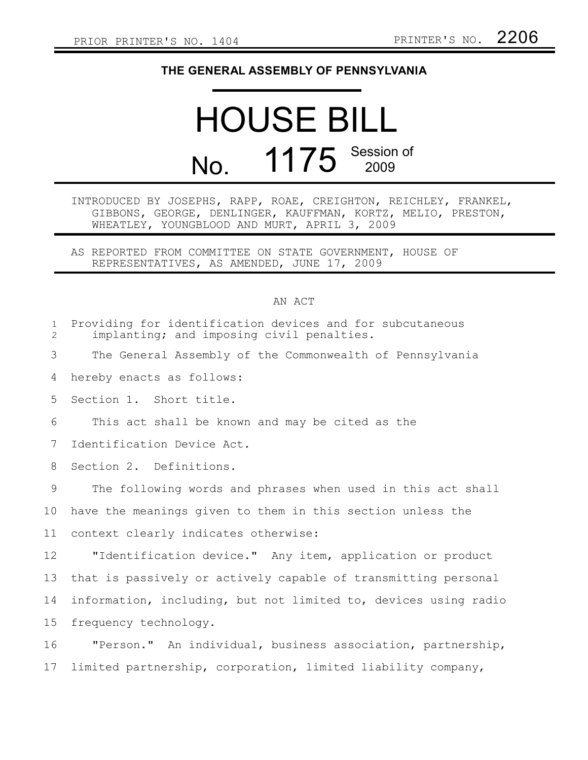## **THE GENERAL ASSEMBLY OF PENNSYLVANIA**

## HOUSE BILL No. 1175 Session of

## INTRODUCED BY JOSEPHS, RAPP, ROAE, CREIGHTON, REICHLEY, FRANKEL, GIBBONS, GEORGE, DENLINGER, KAUFFMAN, KORTZ, MELIO, PRESTON, WHEATLEY, YOUNGBLOOD AND MURT, APRIL 3, 2009

AS REPORTED FROM COMMITTEE ON STATE GOVERNMENT, HOUSE OF REPRESENTATIVES, AS AMENDED, JUNE 17, 2009

## AN ACT

| $\mathbf{1}$<br>$\overline{2}$ | Providing for identification devices and for subcutaneous<br>implanting; and imposing civil penalties. |
|--------------------------------|--------------------------------------------------------------------------------------------------------|
| 3                              | The General Assembly of the Commonwealth of Pennsylvania                                               |
| 4                              | hereby enacts as follows:                                                                              |
| 5                              | Section 1. Short title.                                                                                |
| 6                              | This act shall be known and may be cited as the                                                        |
| 7                              | Identification Device Act.                                                                             |
| 8                              | Section 2. Definitions.                                                                                |
| 9                              | The following words and phrases when used in this act shall                                            |
| 10                             | have the meanings given to them in this section unless the                                             |
| 11                             | context clearly indicates otherwise:                                                                   |
| 12                             | "Identification device." Any item, application or product                                              |
| 13                             | that is passively or actively capable of transmitting personal                                         |
| 14                             | information, including, but not limited to, devices using radio                                        |
| 15                             | frequency technology.                                                                                  |
| 16                             | "Person." An individual, business association, partnership,                                            |
| 17                             | limited partnership, corporation, limited liability company,                                           |
|                                |                                                                                                        |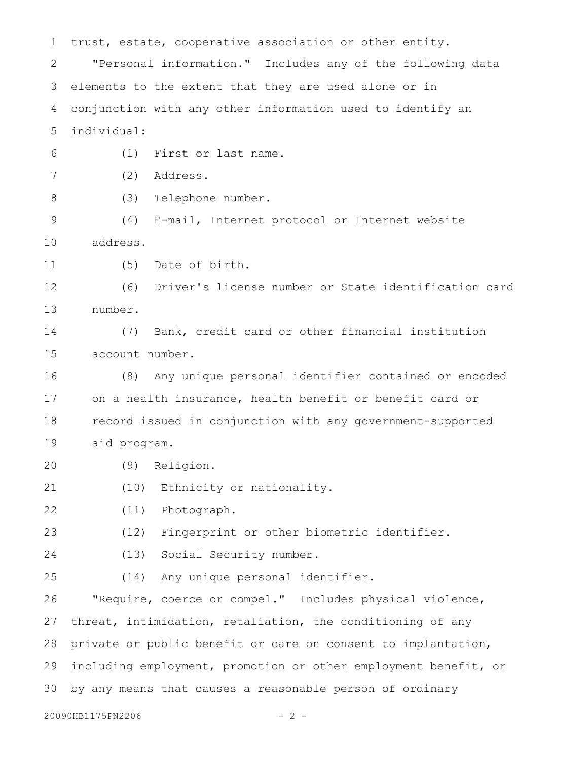trust, estate, cooperative association or other entity. "Personal information." Includes any of the following data elements to the extent that they are used alone or in conjunction with any other information used to identify an individual: (1) First or last name. (2) Address. (3) Telephone number. (4) E-mail, Internet protocol or Internet website address. (5) Date of birth. (6) Driver's license number or State identification card number. (7) Bank, credit card or other financial institution account number. (8) Any unique personal identifier contained or encoded on a health insurance, health benefit or benefit card or record issued in conjunction with any government-supported aid program. (9) Religion. (10) Ethnicity or nationality. (11) Photograph. (12) Fingerprint or other biometric identifier. (13) Social Security number. (14) Any unique personal identifier. "Require, coerce or compel." Includes physical violence, threat, intimidation, retaliation, the conditioning of any private or public benefit or care on consent to implantation, including employment, promotion or other employment benefit, or by any means that causes a reasonable person of ordinary 1 2 3 4 5 6 7 8 9 10 11 12 13 14 15 16 17 18 19 20 21 22 23 24 25 26 27 28 29 30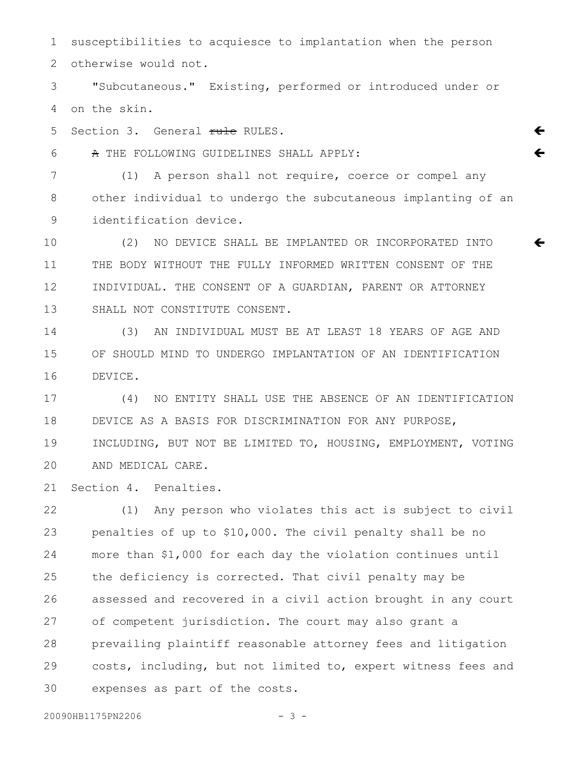susceptibilities to acquiesce to implantation when the person otherwise would not. 1 2

"Subcutaneous." Existing, performed or introduced under or on the skin. 3 4

 $\leftarrow$ 

 $\leftarrow$ 

 $\leftarrow$ 

Section 3. General rule RULES. 5

A THE FOLLOWING GUIDELINES SHALL APPLY: 6

(1) A person shall not require, coerce or compel any other individual to undergo the subcutaneous implanting of an identification device. 7 8 9

(2) NO DEVICE SHALL BE IMPLANTED OR INCORPORATED INTO THE BODY WITHOUT THE FULLY INFORMED WRITTEN CONSENT OF THE INDIVIDUAL. THE CONSENT OF A GUARDIAN, PARENT OR ATTORNEY SHALL NOT CONSTITUTE CONSENT. 10 11 12 13

(3) AN INDIVIDUAL MUST BE AT LEAST 18 YEARS OF AGE AND OF SHOULD MIND TO UNDERGO IMPLANTATION OF AN IDENTIFICATION DEVICE. 14 15 16

(4) NO ENTITY SHALL USE THE ABSENCE OF AN IDENTIFICATION DEVICE AS A BASIS FOR DISCRIMINATION FOR ANY PURPOSE, INCLUDING, BUT NOT BE LIMITED TO, HOUSING, EMPLOYMENT, VOTING AND MEDICAL CARE. 17 18 19 20

Section 4. Penalties. 21

(1) Any person who violates this act is subject to civil penalties of up to \$10,000. The civil penalty shall be no more than \$1,000 for each day the violation continues until the deficiency is corrected. That civil penalty may be assessed and recovered in a civil action brought in any court of competent jurisdiction. The court may also grant a prevailing plaintiff reasonable attorney fees and litigation costs, including, but not limited to, expert witness fees and expenses as part of the costs. 22 23 24 25 26 27 28 29 30

20090HB1175PN2206 - 3 -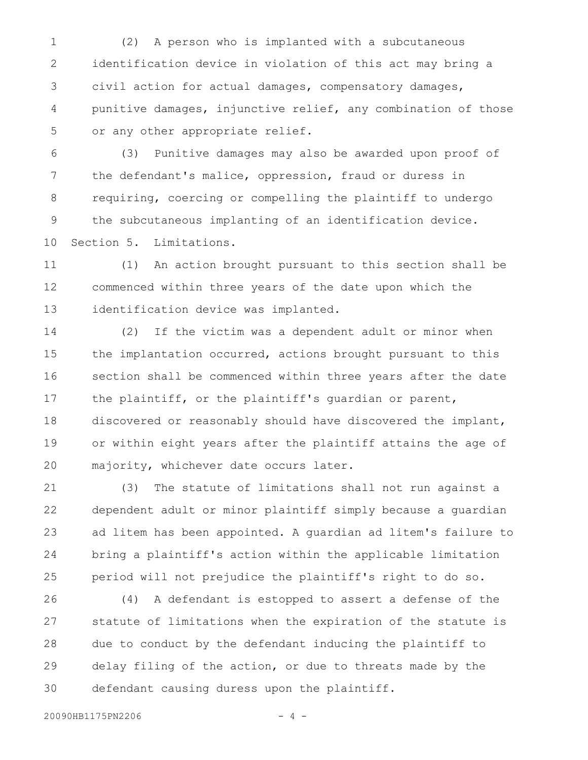(2) A person who is implanted with a subcutaneous identification device in violation of this act may bring a civil action for actual damages, compensatory damages, punitive damages, injunctive relief, any combination of those or any other appropriate relief. 1 2 3 4 5

(3) Punitive damages may also be awarded upon proof of the defendant's malice, oppression, fraud or duress in requiring, coercing or compelling the plaintiff to undergo the subcutaneous implanting of an identification device. Section 5. Limitations. 6 7 8 9 10

(1) An action brought pursuant to this section shall be commenced within three years of the date upon which the identification device was implanted. 11 12 13

(2) If the victim was a dependent adult or minor when the implantation occurred, actions brought pursuant to this section shall be commenced within three years after the date the plaintiff, or the plaintiff's guardian or parent, discovered or reasonably should have discovered the implant, or within eight years after the plaintiff attains the age of majority, whichever date occurs later. 14 15 16 17 18 19 20

(3) The statute of limitations shall not run against a dependent adult or minor plaintiff simply because a guardian ad litem has been appointed. A guardian ad litem's failure to bring a plaintiff's action within the applicable limitation period will not prejudice the plaintiff's right to do so. 21 22 23 24 25

(4) A defendant is estopped to assert a defense of the statute of limitations when the expiration of the statute is due to conduct by the defendant inducing the plaintiff to delay filing of the action, or due to threats made by the defendant causing duress upon the plaintiff. 26 27 28 29 30